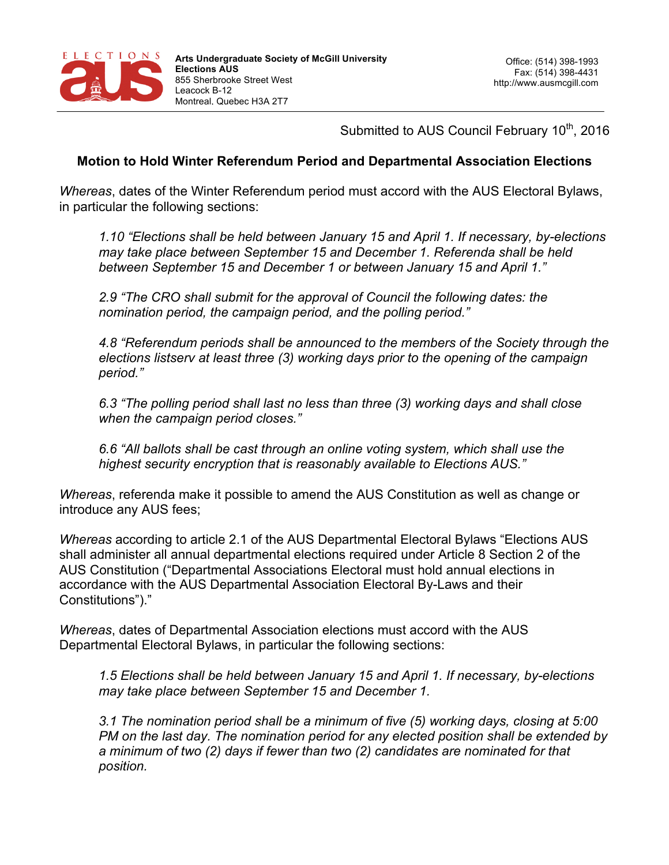

Submitted to AUS Council February 10<sup>th</sup>, 2016

## **Motion to Hold Winter Referendum Period and Departmental Association Elections**

*Whereas*, dates of the Winter Referendum period must accord with the AUS Electoral Bylaws, in particular the following sections:

*1.10 "Elections shall be held between January 15 and April 1. If necessary, by-elections may take place between September 15 and December 1. Referenda shall be held between September 15 and December 1 or between January 15 and April 1."* 

*2.9 "The CRO shall submit for the approval of Council the following dates: the nomination period, the campaign period, and the polling period."* 

*4.8 "Referendum periods shall be announced to the members of the Society through the elections listserv at least three (3) working days prior to the opening of the campaign period."*

*6.3 "The polling period shall last no less than three (3) working days and shall close when the campaign period closes."* 

*6.6 "All ballots shall be cast through an online voting system, which shall use the highest security encryption that is reasonably available to Elections AUS."* 

*Whereas*, referenda make it possible to amend the AUS Constitution as well as change or introduce any AUS fees;

*Whereas* according to article 2.1 of the AUS Departmental Electoral Bylaws "Elections AUS shall administer all annual departmental elections required under Article 8 Section 2 of the AUS Constitution ("Departmental Associations Electoral must hold annual elections in accordance with the AUS Departmental Association Electoral By-Laws and their Constitutions")."

*Whereas*, dates of Departmental Association elections must accord with the AUS Departmental Electoral Bylaws, in particular the following sections:

*1.5 Elections shall be held between January 15 and April 1. If necessary, by-elections may take place between September 15 and December 1.*

*3.1 The nomination period shall be a minimum of five (5) working days, closing at 5:00 PM on the last day. The nomination period for any elected position shall be extended by a minimum of two (2) days if fewer than two (2) candidates are nominated for that position.*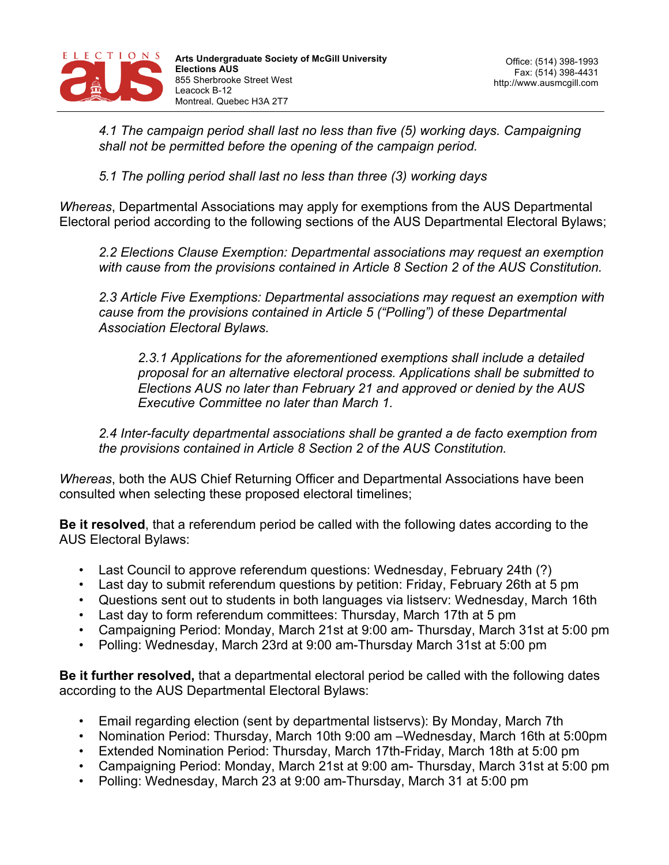

*4.1 The campaign period shall last no less than five (5) working days. Campaigning shall not be permitted before the opening of the campaign period.*

*5.1 The polling period shall last no less than three (3) working days*

*Whereas*, Departmental Associations may apply for exemptions from the AUS Departmental Electoral period according to the following sections of the AUS Departmental Electoral Bylaws;

*2.2 Elections Clause Exemption: Departmental associations may request an exemption with cause from the provisions contained in Article 8 Section 2 of the AUS Constitution.* 

*2.3 Article Five Exemptions: Departmental associations may request an exemption with cause from the provisions contained in Article 5 ("Polling") of these Departmental Association Electoral Bylaws.* 

*2.3.1 Applications for the aforementioned exemptions shall include a detailed proposal for an alternative electoral process. Applications shall be submitted to Elections AUS no later than February 21 and approved or denied by the AUS Executive Committee no later than March 1.* 

*2.4 Inter-faculty departmental associations shall be granted a de facto exemption from the provisions contained in Article 8 Section 2 of the AUS Constitution.*

*Whereas*, both the AUS Chief Returning Officer and Departmental Associations have been consulted when selecting these proposed electoral timelines;

**Be it resolved**, that a referendum period be called with the following dates according to the AUS Electoral Bylaws:

- Last Council to approve referendum questions: Wednesday, February 24th (?)
- Last day to submit referendum questions by petition: Friday, February 26th at 5 pm
- Questions sent out to students in both languages via listserv: Wednesday, March 16th
- Last day to form referendum committees: Thursday, March 17th at 5 pm
- Campaigning Period: Monday, March 21st at 9:00 am- Thursday, March 31st at 5:00 pm
- Polling: Wednesday, March 23rd at 9:00 am-Thursday March 31st at 5:00 pm

**Be it further resolved,** that a departmental electoral period be called with the following dates according to the AUS Departmental Electoral Bylaws:

- Email regarding election (sent by departmental listservs): By Monday, March 7th
- Nomination Period: Thursday, March 10th 9:00 am –Wednesday, March 16th at 5:00pm
- Extended Nomination Period: Thursday, March 17th-Friday, March 18th at 5:00 pm
- Campaigning Period: Monday, March 21st at 9:00 am- Thursday, March 31st at 5:00 pm
- Polling: Wednesday, March 23 at 9:00 am-Thursday, March 31 at 5:00 pm